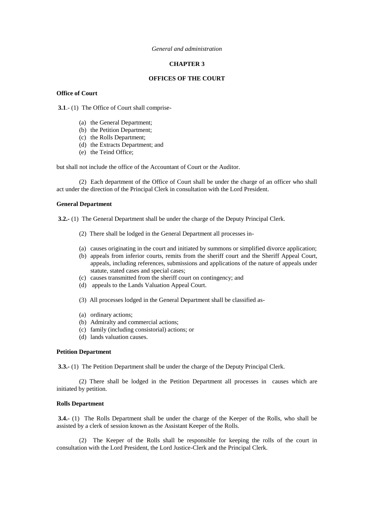#### *General and administration*

# **CHAPTER 3**

## **OFFICES OF THE COURT**

## **Office of Court**

**3.1**.- (1) The Office of Court shall comprise-

- (a) the General Department;
- (b) the Petition Department;
- (c) the Rolls Department;
- (d) the Extracts Department; and
- (e) the Teind Office;

but shall not include the office of the Accountant of Court or the Auditor.

(2) Each department of the Office of Court shall be under the charge of an officer who shall act under the direction of the Principal Clerk in consultation with the Lord President.

# **General Department**

**3.2.-** (1) The General Department shall be under the charge of the Deputy Principal Clerk.

- (2) There shall be lodged in the General Department all processes in-
- (a) causes originating in the court and initiated by summons or simplified divorce application;
- (b) appeals from inferior courts, remits from the sheriff court and the Sheriff Appeal Court, appeals, including references, submissions and applications of the nature of appeals under statute, stated cases and special cases;
- (c) causes transmitted from the sheriff court on contingency; and
- (d) appeals to the Lands Valuation Appeal Court.
- (3) All processes lodged in the General Department shall be classified as-
- (a) ordinary actions;
- (b) Admiralty and commercial actions;
- (c) family (including consistorial) actions; or
- (d) lands valuation causes.

#### **Petition Department**

**3.3.-** (1) The Petition Department shall be under the charge of the Deputy Principal Clerk.

(2) There shall be lodged in the Petition Department all processes in causes which are initiated by petition.

## **Rolls Department**

**3.4.-** (1) The Rolls Department shall be under the charge of the Keeper of the Rolls, who shall be assisted by a clerk of session known as the Assistant Keeper of the Rolls.

(2) The Keeper of the Rolls shall be responsible for keeping the rolls of the court in consultation with the Lord President, the Lord Justice-Clerk and the Principal Clerk.